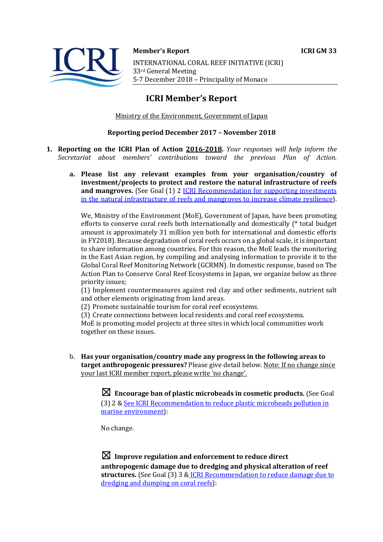**Member's Report ICRI GM 33** INTERNATIONAL CORAL REEF INITIATIVE (ICRI) 33rd General Meeting 5-7 December 2018 - Principality of Monaco

# **ICRI Member's Report**

Ministry of the Environment, Government of Japan

## **Reporting period December 2017 - November 2018**

- **1. Reporting on the ICRI Plan of Action 2016-2018.** *Your responses will help inform the Secretariat about members' contributions toward the previous Plan of Action.*
	- a. Please list any relevant examples from your organisation/country of **investment/projects to protect and restore the natural infrastructure of reefs and mangroves.** (See Goal (1) 2 **ICRI** Recommendation for supporting investments in the natural infrastructure of reefs and mangroves to increase climate resilience).

We, Ministry of the Environment (MoE), Government of Japan, have been promoting efforts to conserve coral reefs both internationally and domestically  $(*$  total budget amount is approximately 31 million yen both for international and domestic efforts in FY2018). Because degradation of coral reefs occurs on a global scale, it is important to share information among countries. For this reason, the MoE leads the monitoring in the East Asian region, by compiling and analysing information to provide it to the Global Coral Reef Monitoring Network (GCRMN). In domestic response, based on The Action Plan to Conserve Coral Reef Ecosystems in Japan, we organize below as three priority issues:

(1) Implement countermeasures against red clay and other sediments, nutrient salt and other elements originating from land areas.

(2) Promote sustainable tourism for coral reef ecosystems.

(3) Create connections between local residents and coral reef ecosystems.

MoE is promoting model projects at three sites in which local communities work together on these issues.

b. Has your organisation/country made any progress in the following areas to **target anthropogenic pressures?** Please give detail below. Note: If no change since your last ICRI member report, please write 'no change'.

> $\boxtimes$  Encourage ban of plastic microbeads in cosmetic products. (See Goal (3) 2 & See ICRI Recommendation to reduce plastic microbeads pollution in marine environment):

No change.

 $\boxtimes$  Improve regulation and enforcement to reduce direct anthropogenic damage due to dredging and physical alteration of reef structures. (See Goal (3) 3 & ICRI Recommendation to reduce damage due to dredging and dumping on coral reefs):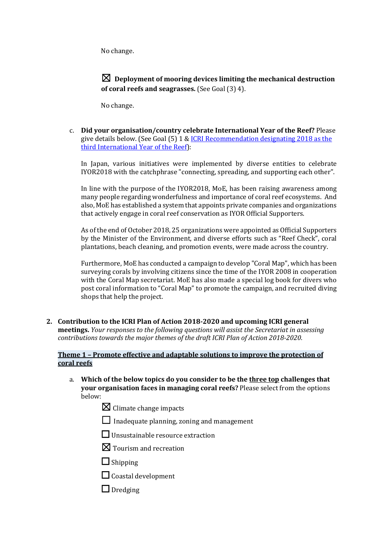No change.

 $\boxtimes$  Deplovment of mooring devices limiting the mechanical destruction **of coral reefs and seagrasses.** (See Goal (3) 4).

No change.

c. **Did your organisation/country celebrate International Year of the Reef?** Please give details below. (See Goal  $(5)$  1 & ICRI Recommendation designating 2018 as the third International Year of the Reef):

In Japan, various initiatives were implemented by diverse entities to celebrate IYOR2018 with the catchphrase "connecting, spreading, and supporting each other".

In line with the purpose of the IYOR2018, MoE, has been raising awareness among many people regarding wonderfulness and importance of coral reef ecosystems. And also, MoE has established a system that appoints private companies and organizations that actively engage in coral reef conservation as IYOR Official Supporters.

As of the end of October 2018, 25 organizations were appointed as Official Supporters by the Minister of the Environment, and diverse efforts such as "Reef Check", coral plantations, beach cleaning, and promotion events, were made across the country.

Furthermore, MoE has conducted a campaign to develop "Coral Map", which has been surveying corals by involving citizens since the time of the IYOR 2008 in cooperation with the Coral Map secretariat. MoE has also made a special log book for divers who post coral information to "Coral Map" to promote the campaign, and recruited diving shops that help the project.

2. Contribution to the ICRI Plan of Action 2018-2020 and upcoming ICRI general **meetings.** *Your responses to the following questions will assist the Secretariat in assessing contributions towards the major themes of the draft ICRI Plan of Action 2018-2020.* 

## **Theme 1 - Promote effective and adaptable solutions to improve the protection of coral reefs**

- a. Which of the below topics do you consider to be the three top challenges that **your organisation faces in managing coral reefs?** Please select from the options below:
	- $\boxtimes$  Climate change impacts
	- $\Box$  Inadequate planning, zoning and management
	- $\Box$  Unsustainable resource extraction
	- $\boxtimes$  Tourism and recreation
	- □ Shipping
	- $\Box$  Coastal development
	- $\Box$  Dredging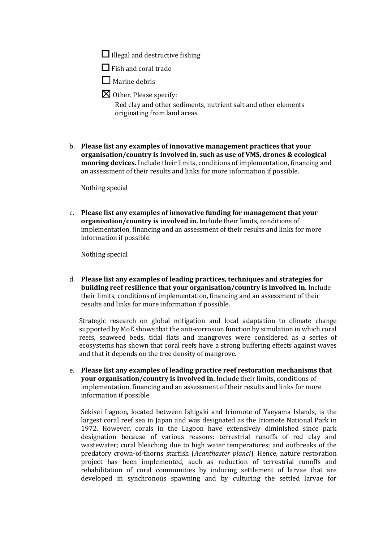$\Box$  Illegal and destructive fishing

 $\Box$  Fish and coral trade

- $\Box$  Marine debris
- $\boxtimes$  Other. Please specify:

Red clay and other sediments, nutrient salt and other elements originating from land areas.

b. Please list any examples of innovative management practices that your organisation/country is involved in, such as use of VMS, drones & ecological **mooring devices.** Include their limits, conditions of implementation, financing and an assessment of their results and links for more information if possible.

Nothing special

c. Please list any examples of innovative funding for management that your organisation/country is involved in. Include their limits, conditions of implementation, financing and an assessment of their results and links for more information if possible.

Nothing special

d. Please list any examples of leading practices, techniques and strategies for **building reef resilience that your organisation/country is involved in.** Include their limits, conditions of implementation, financing and an assessment of their results and links for more information if possible.

Strategic research on global mitigation and local adaptation to climate change supported by MoE shows that the anti-corrosion function by simulation in which coral reefs, seaweed beds, tidal flats and mangroves were considered as a series of ecosystems has shown that coral reefs have a strong buffering effects against waves and that it depends on the tree density of mangrove.

e. Please list any examples of leading practice reef restoration mechanisms that **your organisation/country is involved in.** Include their limits, conditions of implementation, financing and an assessment of their results and links for more information if possible.

Sekisei Lagoon, located between Ishigaki and Iriomote of Yaeyama Islands, is the largest coral reef sea in Japan and was designated as the Iriomote National Park in 1972. However, corals in the Lagoon have extensively diminished since park designation because of various reasons: terrestrial runoffs of red clay and wastewater; coral bleaching due to high water temperatures; and outbreaks of the predatory crown-of-thorns starfish (*Acanthaster planci*). Hence, nature restoration project has been implemented, such as reduction of terrestrial runoffs and rehabilitation of coral communities by inducing settlement of larvae that are developed in synchronous spawning and by culturing the settled larvae for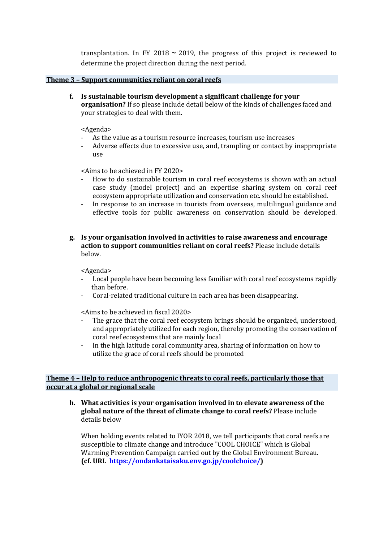transplantation. In FY 2018  $\sim$  2019, the progress of this project is reviewed to determine the project direction during the next period.

### **Theme 3 - Support communities reliant on coral reefs**

**f.** Is sustainable tourism development a significant challenge for your **organisation?** If so please include detail below of the kinds of challenges faced and your strategies to deal with them.

#### <Agenda>

- As the value as a tourism resource increases, tourism use increases
- Adverse effects due to excessive use, and, trampling or contact by inappropriate use

 $\leq$ Aims to be achieved in FY 2020 $>$ 

- How to do sustainable tourism in coral reef ecosystems is shown with an actual case study (model project) and an expertise sharing system on coral reef ecosystem appropriate utilization and conservation etc. should be established.
- In response to an increase in tourists from overseas, multilingual guidance and effective tools for public awareness on conservation should be developed.

## **g.** Is your organisation involved in activities to raise awareness and encourage **action to support communities reliant on coral reefs?** Please include details below.

<Agenda>

- Local people have been becoming less familiar with coral reef ecosystems rapidly than before.
- Coral-related traditional culture in each area has been disappearing.

 $\leq$ Aims to be achieved in fiscal 2020>

- The grace that the coral reef ecosystem brings should be organized, understood, and appropriately utilized for each region, thereby promoting the conservation of coral reef ecosystems that are mainly local
- In the high latitude coral community area, sharing of information on how to utilize the grace of coral reefs should be promoted

## **Theme 4 - Help to reduce anthropogenic threats to coral reefs, particularly those that occur at a global or regional scale**

**h.** What activities is your organisation involved in to elevate awareness of the global nature of the threat of climate change to coral reefs? Please include details below

When holding events related to IYOR 2018, we tell participants that coral reefs are susceptible to climate change and introduce "COOL CHOICE" which is Global Warming Prevention Campaign carried out by the Global Environment Bureau. **(cf. URL https://ondankataisaku.env.go.jp/coolchoice/)**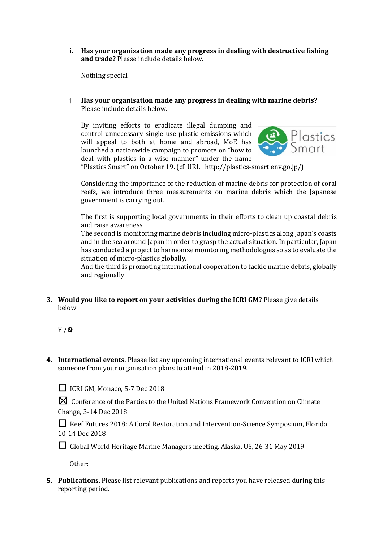**i.** Has your organisation made any progress in dealing with destructive fishing **and trade?** Please include details below.

Nothing special

j. Has your organisation made any progress in dealing with marine debris? Please include details below.

By inviting efforts to eradicate illegal dumping and control unnecessary single-use plastic emissions which will appeal to both at home and abroad, MoE has launched a nationwide campaign to promote on "how to deal with plastics in a wise manner" under the name



"Plastics Smart" on October 19. (cf. URL http://plastics-smart.env.go.jp/) 

Considering the importance of the reduction of marine debris for protection of coral reefs, we introduce three measurements on marine debris which the Japanese government is carrying out.

The first is supporting local governments in their efforts to clean up coastal debris and raise awareness.

The second is monitoring marine debris including micro-plastics along Japan's coasts and in the sea around Japan in order to grasp the actual situation. In particular, Japan has conducted a project to harmonize monitoring methodologies so as to evaluate the situation of micro-plastics globally.

And the third is promoting international cooperation to tackle marine debris, globally and regionally.

**3.** Would you like to report on your activities during the ICRI GM? Please give details below.

Y / N

**4.** International events. Please list any upcoming international events relevant to ICRI which someone from your organisation plans to attend in 2018-2019.

 $\Box$  ICRI GM, Monaco, 5-7 Dec 2018

 $✓$  Conference of the Parties to the United Nations Framework Convention on Climate Change, 3-14 Dec 2018

□ Reef Futures 2018: A Coral Restoration and Intervention-Science Symposium, Florida, 10-14 Dec 2018

□ Global World Heritage Marine Managers meeting, Alaska, US, 26-31 May 2019

Other: 

**5.** Publications. Please list relevant publications and reports you have released during this reporting period.